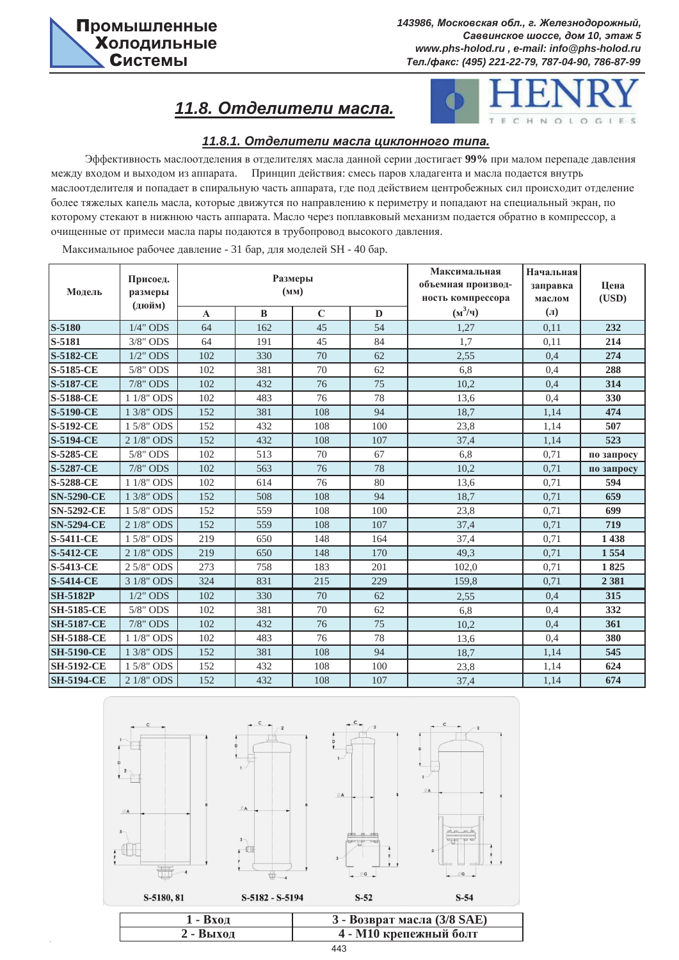# $11.8.$  Отделители масла.



### $11.8.1.$  Отделители масла циклонного типа.

Эффективность маслоотделения в отделителях масла данной серии достигает 99% при малом перепаде давления между входом и выходом из аппарата. Принцип действия: смесь паров хладагента и масла подается внутрь маслоотделителя и попадает в спиральную часть аппарата, где под действием центробежных сил происходит отделение более тяжелых капель масла, которые движутся по направлению к периметру и попадают на специальный экран, по которому стекают в нижнюю часть аппарата. Масло через поплавковый механизм подается обратно в компрессор, а очищенные от примеси масла пары подаются в трубопровод высокого давления.

Максимальное рабочее давление - 31 бар, для моделей SH - 40 бар.

| Модель            | Максимальная<br>Размеры<br>Присоед.<br>объемная производ-<br>(MM)<br>размеры<br>ность компрессора<br>(дюйм) |              |          | Начальная<br>заправка<br>маслом | Цена<br>(USD) |           |         |            |
|-------------------|-------------------------------------------------------------------------------------------------------------|--------------|----------|---------------------------------|---------------|-----------|---------|------------|
|                   |                                                                                                             | $\mathbf{A}$ | $\bf{B}$ | $\mathbf C$                     | $\mathbf D$   | $(M^3/q)$ | $(\Pi)$ |            |
| S-5180            | $1/4$ " ODS                                                                                                 | 64           | 162      | 45                              | 54            | 1,27      | 0,11    | 232        |
| S-5181            | 3/8" ODS                                                                                                    | 64           | 191      | 45                              | 84            | 1,7       | 0,11    | 214        |
| <b>S-5182-CE</b>  | $1/2$ " ODS                                                                                                 | 102          | 330      | 70                              | 62            | 2.55      | 0,4     | 274        |
| S-5185-CE         | $5/8"$ ODS                                                                                                  | 102          | 381      | 70                              | 62            | 6,8       | 0,4     | 288        |
| <b>S-5187-CE</b>  | 7/8" ODS                                                                                                    | 102          | 432      | 76                              | 75            | 10,2      | 0,4     | 314        |
| <b>S-5188-CE</b>  | 1 1/8" ODS                                                                                                  | 102          | 483      | 76                              | 78            | 13,6      | 0,4     | 330        |
| <b>S-5190-CE</b>  | 1 3/8" ODS                                                                                                  | 152          | 381      | 108                             | 94            | 18,7      | 1,14    | 474        |
| S-5192-CE         | 1 5/8" ODS                                                                                                  | 152          | 432      | 108                             | 100           | 23,8      | 1,14    | 507        |
| <b>S-5194-CE</b>  | 2 1/8" ODS                                                                                                  | 152          | 432      | 108                             | 107           | 37,4      | 1,14    | 523        |
| S-5285-CE         | 5/8" ODS                                                                                                    | 102          | 513      | 70                              | 67            | 6,8       | 0,71    | по запросу |
| <b>S-5287-CE</b>  | 7/8" ODS                                                                                                    | 102          | 563      | 76                              | 78            | 10,2      | 0,71    | по запросу |
| <b>S-5288-CE</b>  | 1 1/8" ODS                                                                                                  | 102          | 614      | 76                              | 80            | 13,6      | 0,71    | 594        |
| <b>SN-5290-CE</b> | 1 3/8" ODS                                                                                                  | 152          | 508      | 108                             | 94            | 18,7      | 0,71    | 659        |
| <b>SN-5292-CE</b> | 1 5/8" ODS                                                                                                  | 152          | 559      | 108                             | 100           | 23,8      | 0,71    | 699        |
| <b>SN-5294-CE</b> | 2 1/8" ODS                                                                                                  | 152          | 559      | 108                             | 107           | 37,4      | 0.71    | 719        |
| <b>S-5411-CE</b>  | 1 5/8" ODS                                                                                                  | 219          | 650      | 148                             | 164           | 37,4      | 0.71    | 1438       |
| <b>S-5412-CE</b>  | 2 1/8" ODS                                                                                                  | 219          | 650      | 148                             | 170           | 49,3      | 0,71    | 1554       |
| <b>S-5413-CE</b>  | 2 5/8" ODS                                                                                                  | 273          | 758      | 183                             | 201           | 102,0     | 0,71    | 1825       |
| <b>S-5414-CE</b>  | 3 1/8" ODS                                                                                                  | 324          | 831      | 215                             | 229           | 159,8     | 0,71    | 2 3 8 1    |
| <b>SH-5182P</b>   | $1/2$ " ODS                                                                                                 | 102          | 330      | 70                              | 62            | 2,55      | 0,4     | 315        |
| <b>SH-5185-CE</b> | 5/8" ODS                                                                                                    | 102          | 381      | 70                              | 62            | 6,8       | 0,4     | 332        |
| <b>SH-5187-CE</b> | 7/8" ODS                                                                                                    | 102          | 432      | 76                              | 75            | 10,2      | 0,4     | 361        |
| <b>SH-5188-CE</b> | 1 1/8" ODS                                                                                                  | 102          | 483      | 76                              | 78            | 13,6      | 0,4     | 380        |
| <b>SH-5190-CE</b> | 1 3/8" ODS                                                                                                  | 152          | 381      | 108                             | 94            | 18,7      | 1,14    | 545        |
| <b>SH-5192-CE</b> | 1 5/8" ODS                                                                                                  | 152          | 432      | 108                             | 100           | 23,8      | 1,14    | 624        |
| <b>SH-5194-CE</b> | 2 1/8" ODS                                                                                                  | 152          | 432      | 108                             | 107           | 37,4      | 1,14    | 674        |



| <b>1 - Вхол</b> | 3 - Возврат масла (3/8 SAE) |
|-----------------|-----------------------------|
| 2 - Выход       | 4 - М10 крепежный болт      |
|                 | 443                         |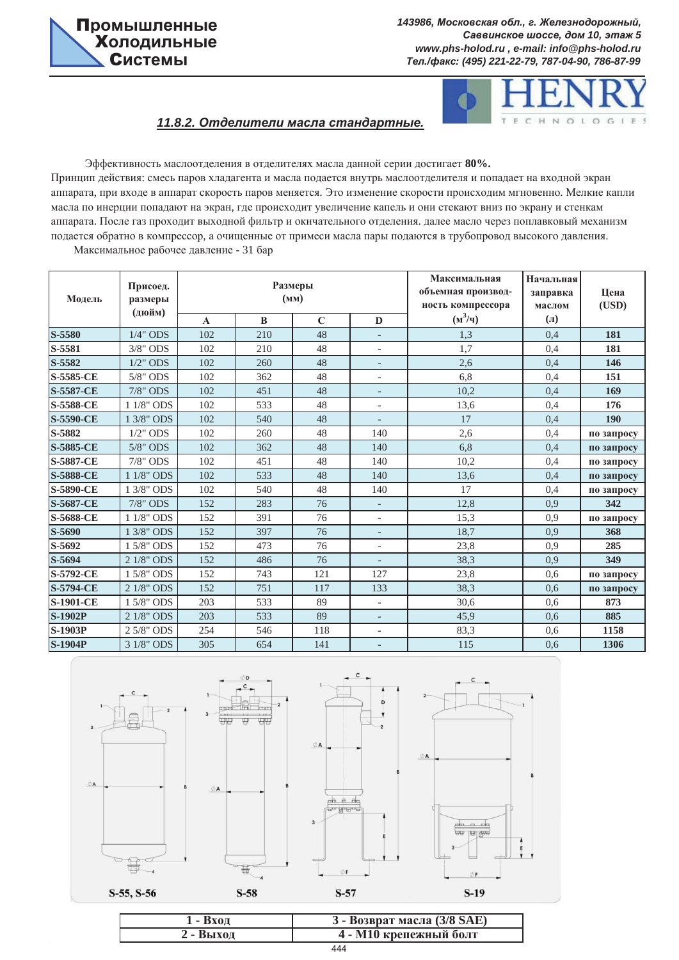



# $11.8.2.$  Отделители масла стандартные.

Эффективность маслоотделения в отделителях масла данной серии достигает 80%. Принцип действия: смесь паров хладагента и масла подается внутрь маслоотделителя и попадает на входной экран аппарата, при входе в аппарат скорость паров меняется. Это изменение скорости происходим мгновенно. Мелкие капли масла по инерции попадают на экран, где происходит увеличение капель и они стекают вниз по экрану и стенкам аппарата. После газ проходит выходной фильтр и окнчательного отделения. далее масло через поплавковый механизм подается обратно в компрессор, а очищенные от примеси масла пары подаются в трубопровод высокого давления.

Максимальное рабочее давление - 31 бар

| Модель           | Присоед.<br>размеры<br>(дюйм) |             | Размеры | (MM)        |                          | Максимальная<br>объемная производ-<br>ность компрессора | Начальная<br>заправка<br>маслом | Цена<br>(USD) |
|------------------|-------------------------------|-------------|---------|-------------|--------------------------|---------------------------------------------------------|---------------------------------|---------------|
|                  |                               | $\mathbf A$ | B       | $\mathbf C$ | D                        | $(M^3/q)$                                               | $\left( \Pi \right)$            |               |
| S-5580           | $1/4$ " ODS                   | 102         | 210     | 48          | $\overline{\phantom{a}}$ | 1,3                                                     | 0.4                             | 181           |
| S-5581           | $3/8"$ ODS                    | 102         | 210     | 48          | $\overline{\phantom{a}}$ | 1,7                                                     | 0,4                             | 181           |
| $S-5582$         | $1/2$ " ODS                   | 102         | 260     | 48          | $\overline{\phantom{a}}$ | 2,6                                                     | 0,4                             | 146           |
| S-5585-CE        | 5/8" ODS                      | 102         | 362     | 48          | $\overline{\phantom{a}}$ | 6,8                                                     | 0,4                             | 151           |
| <b>S-5587-CE</b> | 7/8" ODS                      | 102         | 451     | 48          | $\overline{\phantom{a}}$ | 10,2                                                    | 0,4                             | 169           |
| <b>S-5588-CE</b> | 1 1/8" ODS                    | 102         | 533     | 48          | $\overline{\phantom{a}}$ | 13,6                                                    | 0,4                             | 176           |
| <b>S-5590-CE</b> | 1 3/8" ODS                    | 102         | 540     | 48          | $\overline{\phantom{a}}$ | 17                                                      | 0,4                             | 190           |
| S-5882           | $1/2$ " ODS                   | 102         | 260     | 48          | 140                      | 2,6                                                     | 0,4                             | по запросу    |
| <b>S-5885-CE</b> | $5/8"$ ODS                    | 102         | 362     | 48          | 140                      | 6,8                                                     | 0,4                             | по запросу    |
| <b>S-5887-CE</b> | 7/8" ODS                      | 102         | 451     | 48          | 140                      | 10,2                                                    | 0,4                             | по запросу    |
| <b>S-5888-CE</b> | 1 1/8" ODS                    | 102         | 533     | 48          | 140                      | 13,6                                                    | 0,4                             | по запросу    |
| <b>S-5890-CE</b> | 1 3/8" ODS                    | 102         | 540     | 48          | 140                      | 17                                                      | 0,4                             | по запросу    |
| <b>S-5687-CE</b> | 7/8" ODS                      | 152         | 283     | 76          | $\equiv$                 | 12,8                                                    | 0.9                             | 342           |
| <b>S-5688-CE</b> | $1\;1/8"$ ODS                 | 152         | 391     | 76          | $\overline{\phantom{a}}$ | 15,3                                                    | 0.9                             | по запросу    |
| S-5690           | 1 3/8" ODS                    | 152         | 397     | 76          | $\overline{\phantom{a}}$ | 18,7                                                    | 0.9                             | 368           |
| S-5692           | 1 5/8" ODS                    | 152         | 473     | 76          | $\overline{\phantom{a}}$ | 23,8                                                    | 0.9                             | 285           |
| S-5694           | 2 1/8" ODS                    | 152         | 486     | 76          | $\overline{\phantom{a}}$ | 38,3                                                    | 0.9                             | 349           |
| <b>S-5792-CE</b> | 1 5/8" ODS                    | 152         | 743     | 121         | 127                      | 23,8                                                    | 0.6                             | по запросу    |
| <b>S-5794-CE</b> | 2 1/8" ODS                    | 152         | 751     | 117         | 133                      | 38,3                                                    | 0.6                             | по запросу    |
| <b>S-1901-CE</b> | 1 5/8" ODS                    | 203         | 533     | 89          | $\overline{\phantom{a}}$ | 30,6                                                    | 0.6                             | 873           |
| <b>S-1902P</b>   | 2 1/8" ODS                    | 203         | 533     | 89          | $\overline{\phantom{a}}$ | 45,9                                                    | 0.6                             | 885           |
| <b>S-1903P</b>   | 2 5/8" ODS                    | 254         | 546     | 118         | $\overline{\phantom{a}}$ | 83,3                                                    | 0.6                             | 1158          |
| <b>S-1904P</b>   | 3 1/8" ODS                    | 305         | 654     | 141         | $\overline{\phantom{a}}$ | 115                                                     | 0.6                             | 1306          |





 $\frac{1}{4}$ 

哥

 $S-58$ 

tuu  $\overline{\mathfrak{m}}$ 



| $1 - Bx$ од | 3 - Возврат масла (3/8 SAE) |
|-------------|-----------------------------|
| 2 - Выхол   | 4 - М10 крепежный болт      |
|             | 444                         |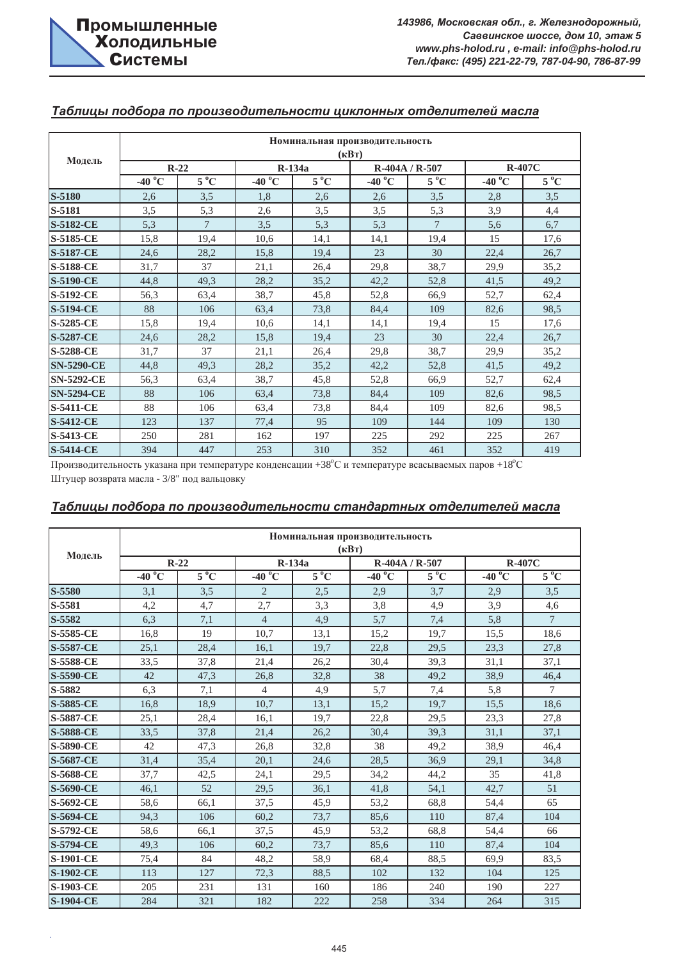|                   | Номинальная производительность |                |                                      |               |                  |              |                 |              |  |  |  |  |
|-------------------|--------------------------------|----------------|--------------------------------------|---------------|------------------|--------------|-----------------|--------------|--|--|--|--|
|                   |                                |                |                                      |               | $(\kappa B)$     |              |                 |              |  |  |  |  |
| Модель            | $R-22$                         |                |                                      | $R-134a$      | R-404A / R-507   |              | <b>R-407C</b>   |              |  |  |  |  |
|                   | -40 $^{\circ}$ C               | $5^{\circ}C$   | $-40\overline{{}^{\circ}\mathrm{C}}$ | $5^{\circ}$ C | -40 $^{\circ}$ C | $5^{\circ}C$ | $-40^{\circ}$ C | $5^{\circ}C$ |  |  |  |  |
| $S-5180$          | 2,6                            | 3,5            | 1,8                                  | 2,6           | 2,6              | 3,5          | 2,8             | 3,5          |  |  |  |  |
| S-5181            | 3,5                            | 5,3            | 2,6                                  | 3,5           | 3,5              | 5,3          | 3,9             | 4,4          |  |  |  |  |
| <b>S-5182-CE</b>  | 5,3                            | $\overline{7}$ | 3,5                                  | 5,3           | 5,3              | 7            | 5,6             | 6,7          |  |  |  |  |
| <b>S-5185-CE</b>  | 15,8                           | 19,4           | 10,6                                 | 14,1          | 14,1             | 19,4         | 15              | 17,6         |  |  |  |  |
| <b>S-5187-CE</b>  | 24,6                           | 28,2           | 15,8                                 | 19,4          | 23               | 30           | 22,4            | 26,7         |  |  |  |  |
| <b>S-5188-CE</b>  | 31,7                           | 37             | 21,1                                 | 26,4          | 29,8             | 38,7         | 29,9            | 35,2         |  |  |  |  |
| <b>S-5190-CE</b>  | 44,8                           | 49,3           | 28,2                                 | 35,2          | 42,2             | 52,8         | 41,5            | 49,2         |  |  |  |  |
| <b>S-5192-CE</b>  | 56,3                           | 63,4           | 38,7                                 | 45,8          | 52,8             | 66,9         | 52,7            | 62,4         |  |  |  |  |
| <b>S-5194-CE</b>  | 88                             | 106            | 63,4                                 | 73,8          | 84,4             | 109          | 82,6            | 98,5         |  |  |  |  |
| <b>S-5285-CE</b>  | 15,8                           | 19,4           | 10,6                                 | 14,1          | 14.1             | 19,4         | 15              | 17,6         |  |  |  |  |
| <b>S-5287-CE</b>  | 24,6                           | 28,2           | 15,8                                 | 19,4          | 23               | 30           | 22,4            | 26,7         |  |  |  |  |
| <b>S-5288-CE</b>  | 31,7                           | 37             | 21,1                                 | 26,4          | 29,8             | 38,7         | 29,9            | 35,2         |  |  |  |  |
| <b>SN-5290-CE</b> | 44,8                           | 49,3           | 28,2                                 | 35,2          | 42,2             | 52,8         | 41,5            | 49,2         |  |  |  |  |
| <b>SN-5292-CE</b> | 56,3                           | 63,4           | 38,7                                 | 45,8          | 52,8             | 66,9         | 52,7            | 62,4         |  |  |  |  |
| <b>SN-5294-CE</b> | 88                             | 106            | 63,4                                 | 73,8          | 84,4             | 109          | 82,6            | 98,5         |  |  |  |  |
| <b>S-5411-CE</b>  | 88                             | 106            | 63,4                                 | 73,8          | 84,4             | 109          | 82,6            | 98,5         |  |  |  |  |
| <b>S-5412-CE</b>  | 123                            | 137            | 77,4                                 | 95            | 109              | 144          | 109             | 130          |  |  |  |  |
| <b>S-5413-CE</b>  | 250                            | 281            | 162                                  | 197           | 225              | 292          | 225             | 267          |  |  |  |  |
| <b>S-5414-CE</b>  | 394                            | 447            | 253                                  | 310           | 352              | 461          | 352             | 419          |  |  |  |  |

### **Таблицы подбора по производительности циклонных отделителей масла**

Производительность указана при температуре конденсации +38°С и температуре всасываемых паров +18°С

Штуцер возврата масла - 3/8" под вальцовку

### Таблицы подбора по производительности стандартных отделителей масла

|                  | Номинальная производительность<br>$(\mathbf{R}B\mathbf{T})$ |              |                             |              |                  |                |                             |                 |  |  |  |  |
|------------------|-------------------------------------------------------------|--------------|-----------------------------|--------------|------------------|----------------|-----------------------------|-----------------|--|--|--|--|
| Модель           |                                                             | $R-22$       |                             | R-134a       |                  | R-404A / R-507 |                             | <b>R-407C</b>   |  |  |  |  |
|                  | -40 $\mathrm{^o}\mathrm{C}$                                 | $5^{\circ}C$ | -40 $\mathrm{^o}\mathrm{C}$ | $5^{\circ}C$ | -40 $^{\circ}$ C | $5^{\circ}C$   | -40 $\mathrm{^o}\mathrm{C}$ | $5^{\circ}C$    |  |  |  |  |
| S-5580           | 3,1                                                         | 3,5          | $\overline{2}$              | 2,5          | 2,9              | 3,7            | 2,9                         | 3,5             |  |  |  |  |
| S-5581           | 4,2                                                         | 4,7          | 2,7                         | 3,3          | 3,8              | 4,9            | 3,9                         | 4,6             |  |  |  |  |
| S-5582           | 6.3                                                         | 7,1          | $\overline{4}$              | 4,9          | 5,7              | 7,4            | 5,8                         | $7\phantom{.0}$ |  |  |  |  |
| S-5585-CE        | 16,8                                                        | 19           | 10,7                        | 13,1         | 15,2             | 19,7           | 15,5                        | 18,6            |  |  |  |  |
| <b>S-5587-CE</b> | 25,1                                                        | 28,4         | 16,1                        | 19,7         | 22,8             | 29,5           | 23,3                        | 27,8            |  |  |  |  |
| <b>S-5588-CE</b> | 33,5                                                        | 37,8         | 21,4                        | 26,2         | 30,4             | 39,3           | 31,1                        | 37,1            |  |  |  |  |
| <b>S-5590-CE</b> | 42                                                          | 47,3         | 26,8                        | 32,8         | 38               | 49,2           | 38,9                        | 46,4            |  |  |  |  |
| S-5882           | 6,3                                                         | 7,1          | $\overline{4}$              | 4,9          | 5,7              | 7,4            | 5,8                         | 7               |  |  |  |  |
| S-5885-CE        | 16,8                                                        | 18,9         | 10,7                        | 13,1         | 15,2             | 19,7           | 15,5                        | 18,6            |  |  |  |  |
| <b>S-5887-CE</b> | 25,1                                                        | 28,4         | 16,1                        | 19,7         | 22,8             | 29.5           | 23,3                        | 27,8            |  |  |  |  |
| <b>S-5888-CE</b> | 33,5                                                        | 37,8         | 21,4                        | 26,2         | 30,4             | 39,3           | 31,1                        | 37,1            |  |  |  |  |
| <b>S-5890-CE</b> | 42                                                          | 47,3         | 26,8                        | 32,8         | 38               | 49,2           | 38,9                        | 46,4            |  |  |  |  |
| S-5687-CE        | 31,4                                                        | 35,4         | 20,1                        | 24,6         | 28,5             | 36,9           | 29,1                        | 34,8            |  |  |  |  |
| S-5688-CE        | 37,7                                                        | 42,5         | 24,1                        | 29,5         | 34,2             | 44.2           | 35                          | 41,8            |  |  |  |  |
| <b>S-5690-CE</b> | 46,1                                                        | 52           | 29,5                        | 36,1         | 41,8             | 54,1           | 42,7                        | 51              |  |  |  |  |
| S-5692-CE        | 58,6                                                        | 66,1         | 37,5                        | 45,9         | 53,2             | 68,8           | 54,4                        | 65              |  |  |  |  |
| <b>S-5694-CE</b> | 94,3                                                        | 106          | 60,2                        | 73,7         | 85,6             | 110            | 87,4                        | 104             |  |  |  |  |
| S-5792-CE        | 58,6                                                        | 66,1         | 37,5                        | 45,9         | 53,2             | 68,8           | 54,4                        | 66              |  |  |  |  |
| <b>S-5794-CE</b> | 49,3                                                        | 106          | 60,2                        | 73,7         | 85,6             | 110            | 87,4                        | 104             |  |  |  |  |
| <b>S-1901-CE</b> | 75,4                                                        | 84           | 48,2                        | 58,9         | 68,4             | 88,5           | 69,9                        | 83.5            |  |  |  |  |
| <b>S-1902-CE</b> | 113                                                         | 127          | 72,3                        | 88,5         | 102              | 132            | 104                         | 125             |  |  |  |  |
| <b>S-1903-CE</b> | 205                                                         | 231          | 131                         | 160          | 186              | 240            | 190                         | 227             |  |  |  |  |
| <b>S-1904-CE</b> | 284                                                         | 321          | 182                         | 222          | 258              | 334            | 264                         | 315             |  |  |  |  |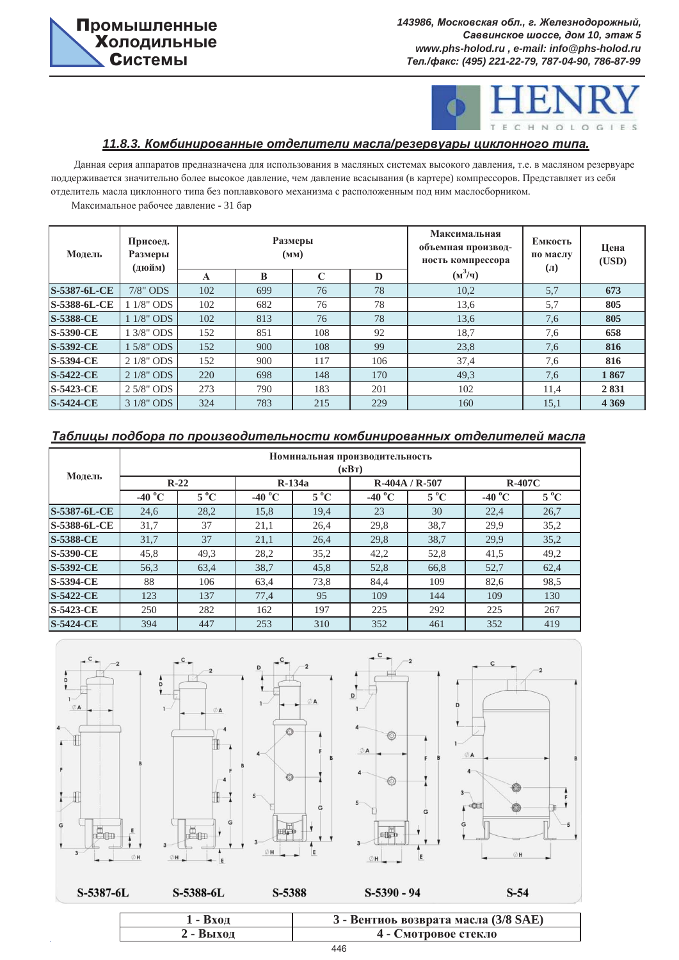

## $11.8.3$ . Комбинированные отделители масла/резервуары циклонного типа.

Данная серия аппаратов предназначена для использования в масляных системах высокого давления, т.е. в масляном резервуаре поддерживается значительно более высокое давление, чем давление всасывания (в картере) компрессоров. Представляет из себя отделитель масла циклонного типа без поплавкового механизма с расположенным под ним маслосборником.

Максимальное рабочее давление - 31 бар

| Модель           | Присоед.<br>Размеры<br>(дюйм) |     |     | Размеры<br>(MM) |     | Максимальная<br>объемная производ-<br>ность компрессора | Емкость<br>по маслу<br>$\mathbf{u}$ | Цена<br>(USD) |
|------------------|-------------------------------|-----|-----|-----------------|-----|---------------------------------------------------------|-------------------------------------|---------------|
|                  |                               | A   | B   | C               | D   | $(M^3/q)$                                               |                                     |               |
| S-5387-6L-CE     | $7/8$ " ODS                   | 102 | 699 | 76              | 78  | 10,2                                                    | 5,7                                 | 673           |
| S-5388-6L-CE     | 1 1/8" ODS                    | 102 | 682 | 76              | 78  | 13,6                                                    | 5,7                                 | 805           |
| <b>S-5388-CE</b> | 1 1/8" ODS                    | 102 | 813 | 76              | 78  | 13,6                                                    | 7,6                                 | 805           |
| <b>S-5390-CE</b> | 1 3/8" ODS                    | 152 | 851 | 108             | 92  | 18,7                                                    | 7,6                                 | 658           |
| <b>S-5392-CE</b> | 1 5/8" ODS                    | 152 | 900 | 108             | 99  | 23,8                                                    | 7,6                                 | 816           |
| <b>S-5394-CE</b> | 2 1/8" ODS                    | 152 | 900 | 117             | 106 | 37,4                                                    | 7,6                                 | 816           |
| <b>S-5422-CE</b> | 2 1/8" ODS                    | 220 | 698 | 148             | 170 | 49,3                                                    | 7,6                                 | 1867          |
| <b>S-5423-CE</b> | $2.5/8"$ ODS                  | 273 | 790 | 183             | 201 | 102                                                     | 11,4                                | 2831          |
| <b>S-5424-CE</b> | 3 1/8" ODS                    | 324 | 783 | 215             | 229 | 160                                                     | 15,1                                | 4 3 6 9       |

### Таблицы подбора по производительности комбинированных отделителей масла

| Модель           | Номинальная производительность<br>$(\mathbf{R}B\mathbf{T})$ |              |                  |               |                  |                |                  |               |  |  |  |  |
|------------------|-------------------------------------------------------------|--------------|------------------|---------------|------------------|----------------|------------------|---------------|--|--|--|--|
|                  |                                                             | $R-22$       |                  | $R-134a$      |                  | $R-404A/R-507$ |                  | <b>R-407C</b> |  |  |  |  |
|                  | -40 $^{\circ}$ C                                            | $5^{\circ}C$ | -40 $^{\circ}$ C | $5^{\circ}$ C | -40 $^{\circ}$ C | $5^{\circ}$ C  | -40 $^{\circ}$ C | $5^{\circ}$ C |  |  |  |  |
| S-5387-6L-CE     | 24,6                                                        | 28,2         | 15,8             | 19,4          | 23               | 30             | 22,4             | 26,7          |  |  |  |  |
| S-5388-6L-CE     | 31,7                                                        | 37           | 21,1             | 26.4          | 29,8             | 38.7           | 29,9             | 35,2          |  |  |  |  |
| <b>S-5388-CE</b> | 31,7                                                        | 37           | 21,1             | 26,4          | 29,8             | 38,7           | 29,9             | 35,2          |  |  |  |  |
| <b>S-5390-CE</b> | 45.8                                                        | 49.3         | 28,2             | 35,2          | 42,2             | 52,8           | 41,5             | 49,2          |  |  |  |  |
| <b>S-5392-CE</b> | 56,3                                                        | 63,4         | 38,7             | 45,8          | 52,8             | 66,8           | 52,7             | 62,4          |  |  |  |  |
| <b>S-5394-CE</b> | 88                                                          | 106          | 63,4             | 73,8          | 84,4             | 109            | 82,6             | 98.5          |  |  |  |  |
| <b>S-5422-CE</b> | 123                                                         | 137          | 77,4             | 95            | 109              | 144            | 109              | 130           |  |  |  |  |
| S-5423-CE        | 250                                                         | 282          | 162              | 197           | 225              | 292            | 225              | 267           |  |  |  |  |
| <b>S-5424-CE</b> | 394                                                         | 447          | 253              | 310           | 352              | 461            | 352              | 419           |  |  |  |  |









 $S-54$ 

| $S-5387-6L$ | $S-5388-6L$ | S-5388 | $S-5390-94$ |
|-------------|-------------|--------|-------------|
|             |             |        |             |

| 1 - Вход  | 3 - Вентиоь возврата масла (3/8 SAE) |
|-----------|--------------------------------------|
| 2 - Выход | 4 - Смотровое стекло                 |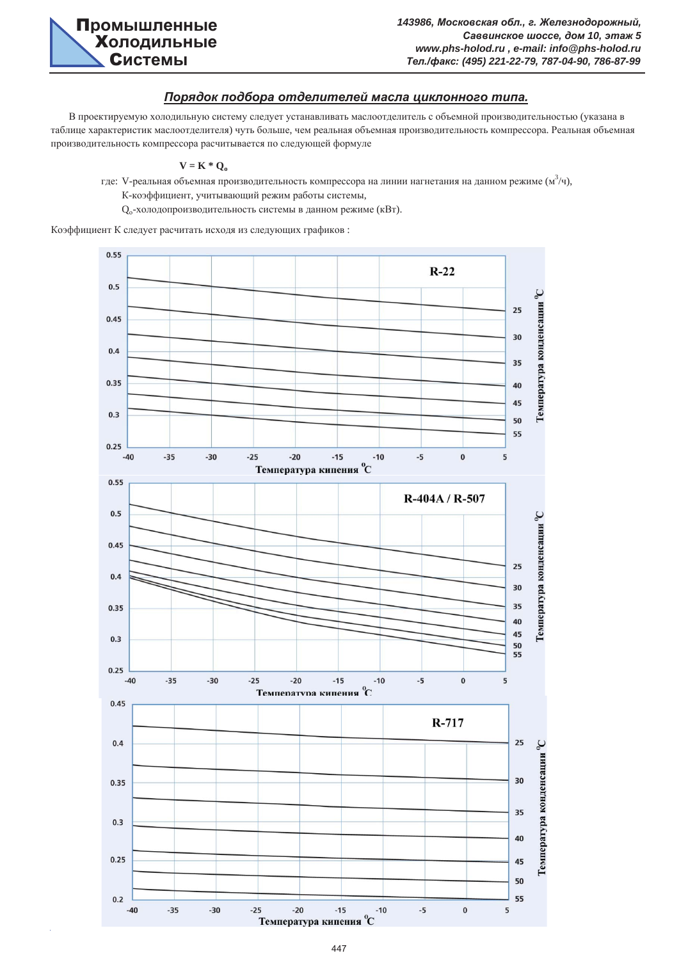

### $\Pi$ орядок подбора отделителей масла циклонного типа.

В проектируемую холодильную систему следует устанавливать маслоотделитель с объемной производительностью (указана в таблице характеристик маслоотделителя) чуть больше, чем реальная объемная производительность компрессора. Реальная объемная производительность компрессора расчитывается по следующей формуле

#### $V = K * Q_0$

где: V-реальная объемная производительность компрессора на линии нагнетания на данном режиме (м $^{3}/$ ч), К-коэффициент, учитывающий режим работы системы,

Q<sub>o</sub>-холодопроизводительность системы в данном режиме (кВт).

Коэффициент К следует расчитать исходя из следующих графиков:

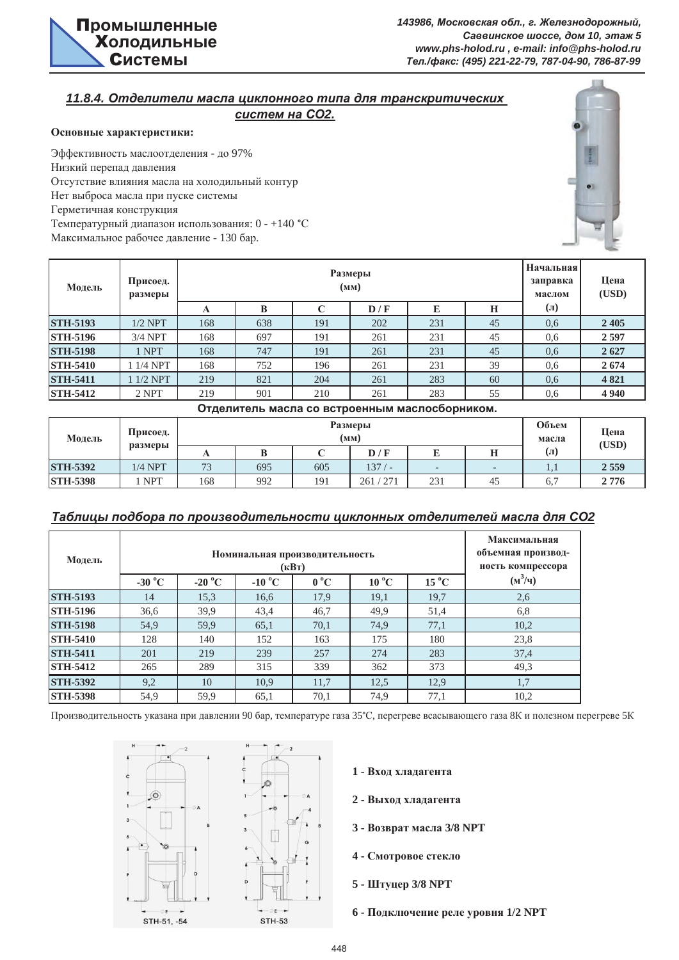

# **11.8.4. Отделители масла циклонного типа для транскритических**

*<i>cucmем на СО2.* 

### Основные характеристики:

Эффективность маслоотделения - до 97% Низкий перепад давления Отсутствие влияния масла на холодильный контур Нет выброса масла при пуске системы Герметичная конструкция Температурный диапазон использования: 0 - +140 °С Максимальное рабочее давление - 130 бар.



| Модель          | Присоед.<br>размеры |     |     | Начальная<br>заправка<br>маслом | Цена<br>(USD)                                 |     |    |                     |         |
|-----------------|---------------------|-----|-----|---------------------------------|-----------------------------------------------|-----|----|---------------------|---------|
|                 |                     | A   | B   | C                               | D/F                                           | E   | H  | $\left( \Pi\right)$ |         |
| <b>STH-5193</b> | $1/2$ NPT           | 168 | 638 | 191                             | 202                                           | 231 | 45 | 0,6                 | 2405    |
| <b>STH-5196</b> | $3/4$ NPT           | 168 | 697 | 191                             | 261                                           | 231 | 45 | 0,6                 | 2597    |
| <b>STH-5198</b> | 1 NPT               | 168 | 747 | 191                             | 261                                           | 231 | 45 | 0,6                 | 2627    |
| <b>STH-5410</b> | 1 1/4 NPT           | 168 | 752 | 196                             | 261                                           | 231 | 39 | 0.6                 | 2674    |
| <b>STH-5411</b> | $11/2$ NPT          | 219 | 821 | 204                             | 261                                           | 283 | 60 | 0.6                 | 4821    |
| <b>STH-5412</b> | 2 NPT               | 219 | 901 | 210                             | 261                                           | 283 | 55 | 0,6                 | 4 9 4 0 |
|                 |                     |     |     |                                 | Отлепитель масла со встроенным маслосборником |     |    |                     |         |

| <b>U ACTIVITY IN MODIA CO BUTPOCHILDIM MACTIVE OURTIFICINI.</b> |                     |     |     |                |               |                          |    |                      |      |  |
|-----------------------------------------------------------------|---------------------|-----|-----|----------------|---------------|--------------------------|----|----------------------|------|--|
| Модель                                                          | Присоед.<br>размеры |     |     | Объем<br>масла | Цена<br>(USD) |                          |    |                      |      |  |
|                                                                 |                     |     |     |                | D/F           |                          | н  | $\left( \Pi \right)$ |      |  |
| <b>STH-5392</b>                                                 | $1/4$ NPT           | 73  | 695 | 605            | 137/          | $\overline{\phantom{0}}$ |    | 1.1                  | 2559 |  |
| <b>STH-5398</b>                                                 | NPT                 | 168 | 992 | 191            | 261/271       | 231                      | 45 | 6.7                  | 2776 |  |

## Таблицы подбора по производительности циклонных отделителей масла для СО2

| Модель          | Номинальная производительность<br>$(\mathbf{R}B\mathbf{T})$ |                  |                 |              |                |                          |           |  |  |  |
|-----------------|-------------------------------------------------------------|------------------|-----------------|--------------|----------------|--------------------------|-----------|--|--|--|
|                 | -30 $^{\circ}$ C                                            | -20 $^{\circ}$ C | $-10\text{ °C}$ | $0^{\circ}C$ | $10\text{ °C}$ | $15\,^{\circ}\mathrm{C}$ | $(M^3/q)$ |  |  |  |
| <b>STH-5193</b> | 14                                                          | 15,3             | 16,6            | 17,9         | 19,1           | 19,7                     | 2,6       |  |  |  |
| <b>STH-5196</b> | 36,6                                                        | 39,9             | 43,4            | 46,7         | 49,9           | 51,4                     | 6,8       |  |  |  |
| <b>STH-5198</b> | 54,9                                                        | 59,9             | 65,1            | 70,1         | 74,9           | 77,1                     | 10,2      |  |  |  |
| <b>STH-5410</b> | 128                                                         | 140              | 152             | 163          | 175            | 180                      | 23,8      |  |  |  |
| <b>STH-5411</b> | 201                                                         | 219              | 239             | 257          | 274            | 283                      | 37,4      |  |  |  |
| <b>STH-5412</b> | 265                                                         | 289              | 315             | 339          | 362            | 373                      | 49,3      |  |  |  |
| <b>STH-5392</b> | 9,2                                                         | 10               | 10,9            | 11,7         | 12,5           | 12,9                     | 1,7       |  |  |  |
| <b>STH-5398</b> | 54,9                                                        | 59,9             | 65,1            | 70,1         | 74,9           | 77,1                     | 10,2      |  |  |  |

Производительность указана при давлении 90 бар, температуре газа 35°С, перегреве всасывающего газа 8К и полезном перегреве 5К



- 1 Вход хладагента
- 2 Выход хладагента
- 3 Возврат масла 3/8 NPT
- $4$  Смотровое стекло
- 5 Штуцер 3/8 NPT
- **6 ɉɨɞɤɥɸɱɟɧɢɟ ɪɟɥɟ ɭɪɨɜɧɹ 1/2 NPT**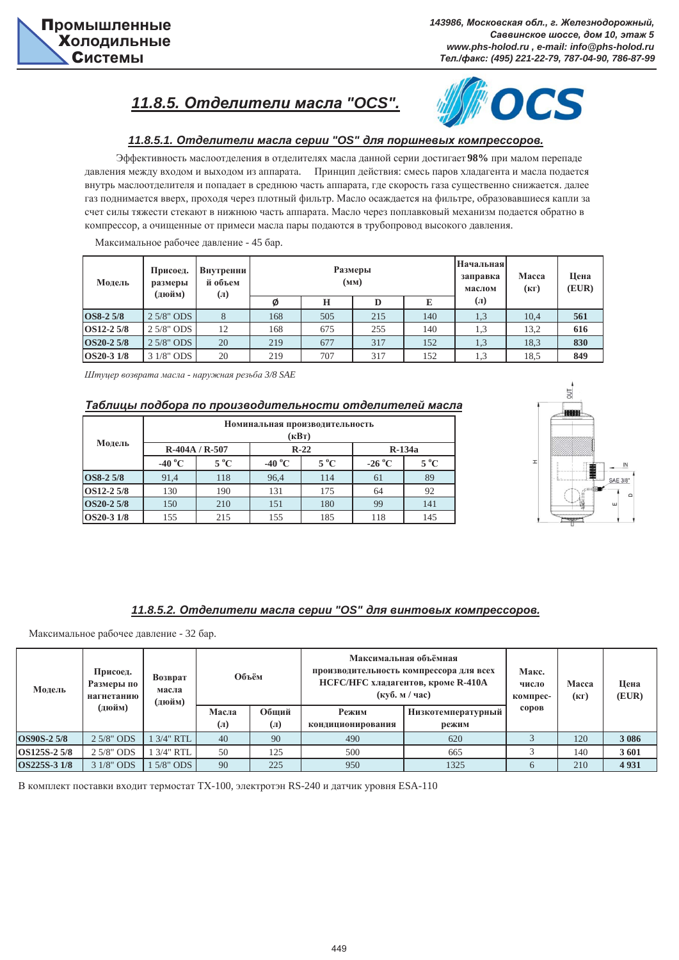# $11.8.5.$  Отделители масла "OCS".



### $11.8.5.1.$  Отделители масла серии "OS" для поршневых компрессоров.

Эффективность маслоотделения в отделителях масла данной серии достигает 98% при малом перепаде давления между входом и выходом из аппарата. Принцип действия: смесь паров хладагента и масла подается внутрь маслоотделителя и попадает в среднюю часть аппарата, где скорость газа существенно снижается. далее газ поднимается вверх, проходя через плотный фильтр. Масло осаждается на фильтре, образовавшиеся капли за счет силы тяжести стекают в нижнюю часть аппарата. Масло через поплавковый механизм подается обратно в компрессор, а очищенные от примеси масла пары подаются в трубопровод высокого давления.

Максимальное рабочее давление - 45 бар.

| Модель           | Присоед.<br>размеры<br>(дюйм) | Внутренни!<br>й объем<br>$\left( \mathbb{I}\right)$ |     |     | <b>Размеры</b><br>(MM) | <b>Начальная</b><br>заправка<br>маслом | Macca<br>(KF)        | Цена<br>(EUR) |     |
|------------------|-------------------------------|-----------------------------------------------------|-----|-----|------------------------|----------------------------------------|----------------------|---------------|-----|
|                  |                               |                                                     | Ø   | Н   | D                      | E                                      | $\left( \Pi \right)$ |               |     |
| <b>OS8-2 5/8</b> | $2.5/8$ " ODS                 | 8                                                   | 168 | 505 | 215                    | 140                                    | 1,3                  | 10,4          | 561 |
| OS12-2 5/8       | $2.5/8"$ ODS                  | 12                                                  | 168 | 675 | 255                    | 140                                    | 1.3                  | 13,2          | 616 |
| OS20-2 5/8       | $2.5/8"$ ODS                  | 20                                                  | 219 | 677 | 317                    | 152                                    | 1,3                  | 18,3          | 830 |
| OS20-3 1/8       | 3 1/8" ODS                    | 20                                                  | 219 | 707 | 317                    | 152                                    | 1,3                  | 18.5          | 849 |

*ɒɬɭɰɟɪ ɜɨɡɜɪɚɬɚ ɦɚɫɥɚ - ɧɚɪɭɠɧɚɹ ɪɟɡɶɛɚ 3/8 SAE*

#### Таблицы подбора по производительности отделителей масла

| Модель     | Номинальная производительность<br>(кВт) |                |                  |               |                 |               |  |  |  |  |
|------------|-----------------------------------------|----------------|------------------|---------------|-----------------|---------------|--|--|--|--|
|            |                                         | $R-404A/R-507$ |                  | $R-22$        | $R-134a$        |               |  |  |  |  |
|            | -40 $\mathrm{^{\circ}C}$                | $5^{\circ}$ C  | -40 $^{\circ}$ C | $5^{\circ}$ C | $-26\text{ °C}$ | $5^{\circ}$ C |  |  |  |  |
| OS8-2 5/8  | 91,4                                    | 118            | 96,4             | 114           | 61              | 89            |  |  |  |  |
| OS12-2 5/8 | 130                                     | 190            | 131              | 175           | 64              | 92            |  |  |  |  |
| OS20-2 5/8 | 150                                     | 210            | 151              | 180           | 99              | 141           |  |  |  |  |
| OS20-3 1/8 | 155                                     | 215            | 155              | 185           | 118             | 145           |  |  |  |  |



### 11.8.5.2. Отделители масла серии "OS" для винтовых компрессоров.

Максимальное рабочее давление - 32 бар.

| Модель             | Присоед.<br>Размеры по<br>нагнетанию | Возврат<br>масла<br>(дюйм) | Объём                |                      | Максимальная объёмная<br>производительность компрессора для всех<br>НСГС/НГС хладагентов, кроме R-410A<br>$(\kappa \sqrt{6}, \kappa / \sqrt{4ac})$ | Макс.<br>число<br>компрес- | Macca<br>(KF) | Цена<br>(EUR) |         |
|--------------------|--------------------------------------|----------------------------|----------------------|----------------------|----------------------------------------------------------------------------------------------------------------------------------------------------|----------------------------|---------------|---------------|---------|
|                    | (дюйм)                               |                            | Масла                | Обший                | Режим                                                                                                                                              | Низкотемпературный         | соров         |               |         |
|                    |                                      |                            | $\left( \Pi \right)$ | $\left( \Pi \right)$ | кондиционирования<br>режим                                                                                                                         |                            |               |               |         |
| <b>OS90S-2 5/8</b> | $2.5/8"$ ODS                         | 1 3/4" RTL                 | 40                   | 90                   | 490                                                                                                                                                | 620                        |               | 120           | 3 0 8 6 |
| OS125S-2 5/8       | $2.5/8"$ ODS                         | 1 3/4" RTL                 | 50                   | 125                  | 500                                                                                                                                                | 665                        |               | 140           | 3601    |
| OS225S-3 1/8       | 3 1/8" ODS                           | $15/8"$ ODS                | 90                   | 225                  | 950                                                                                                                                                | 1325                       |               | 210           | 4931    |

В комплект поставки входит термостат ТХ-100, электротэн RS-240 и датчик уровня ESA-110